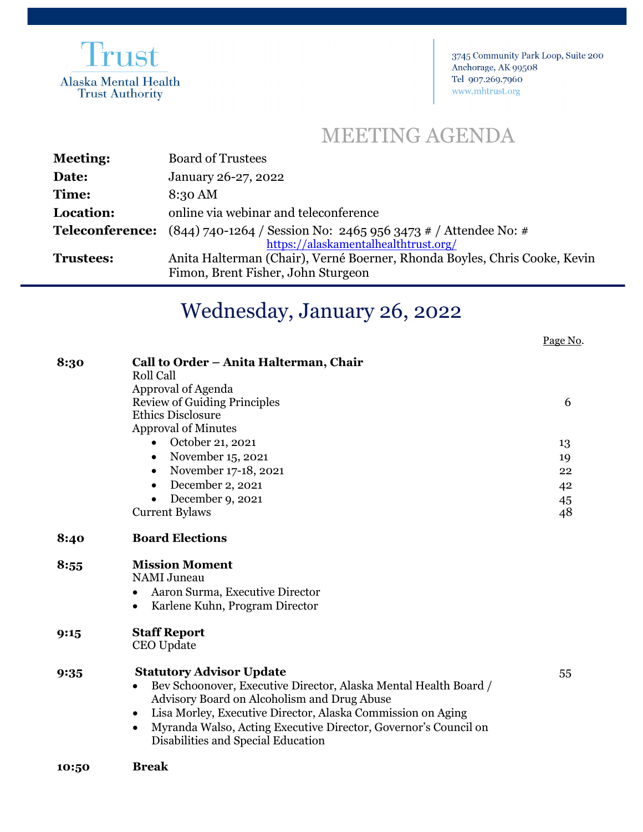

3745 Community Park Loop, Suite 200 Anchorage, AK 99508 Tel 907.269.7960 www.mhtrust.org

## MEETING AGENDA

| <b>Meeting:</b>  | <b>Board of Trustees</b>                                                                                          |
|------------------|-------------------------------------------------------------------------------------------------------------------|
| Date:            | January 26-27, 2022                                                                                               |
| Time:            | 8:30 AM                                                                                                           |
| Location:        | online via webinar and teleconference                                                                             |
|                  | <b>Teleconference:</b> $(844)$ 740-1264 / Session No: 2465 956 3473 # / Attendee No: #                            |
| <b>Trustees:</b> | https://alaskamentalhealthtrust.org/<br>Anita Halterman (Chair), Verné Boerner, Rhonda Boyles, Chris Cooke, Kevin |
|                  | Fimon, Brent Fisher, John Sturgeon                                                                                |

## Wednesday, January 26, 2022

Page No.

| Call to Order - Anita Halterman, Chair      |                                                                                                                                                                                                                                                                                                                                                                                                                                                                                                                                                                                                          |  |
|---------------------------------------------|----------------------------------------------------------------------------------------------------------------------------------------------------------------------------------------------------------------------------------------------------------------------------------------------------------------------------------------------------------------------------------------------------------------------------------------------------------------------------------------------------------------------------------------------------------------------------------------------------------|--|
|                                             |                                                                                                                                                                                                                                                                                                                                                                                                                                                                                                                                                                                                          |  |
|                                             |                                                                                                                                                                                                                                                                                                                                                                                                                                                                                                                                                                                                          |  |
|                                             | 6                                                                                                                                                                                                                                                                                                                                                                                                                                                                                                                                                                                                        |  |
|                                             |                                                                                                                                                                                                                                                                                                                                                                                                                                                                                                                                                                                                          |  |
|                                             |                                                                                                                                                                                                                                                                                                                                                                                                                                                                                                                                                                                                          |  |
|                                             | 13                                                                                                                                                                                                                                                                                                                                                                                                                                                                                                                                                                                                       |  |
| $\bullet$                                   | 19                                                                                                                                                                                                                                                                                                                                                                                                                                                                                                                                                                                                       |  |
| $\bullet$                                   | 22                                                                                                                                                                                                                                                                                                                                                                                                                                                                                                                                                                                                       |  |
|                                             | 42                                                                                                                                                                                                                                                                                                                                                                                                                                                                                                                                                                                                       |  |
| December 9, 2021<br>$\bullet$               | 45                                                                                                                                                                                                                                                                                                                                                                                                                                                                                                                                                                                                       |  |
| <b>Current Bylaws</b>                       | 48                                                                                                                                                                                                                                                                                                                                                                                                                                                                                                                                                                                                       |  |
| <b>Board Elections</b>                      |                                                                                                                                                                                                                                                                                                                                                                                                                                                                                                                                                                                                          |  |
| <b>Mission Moment</b>                       |                                                                                                                                                                                                                                                                                                                                                                                                                                                                                                                                                                                                          |  |
| <b>NAMI</b> Juneau                          |                                                                                                                                                                                                                                                                                                                                                                                                                                                                                                                                                                                                          |  |
| $\bullet$                                   |                                                                                                                                                                                                                                                                                                                                                                                                                                                                                                                                                                                                          |  |
| Karlene Kuhn, Program Director<br>$\bullet$ |                                                                                                                                                                                                                                                                                                                                                                                                                                                                                                                                                                                                          |  |
|                                             |                                                                                                                                                                                                                                                                                                                                                                                                                                                                                                                                                                                                          |  |
| CEO Update                                  |                                                                                                                                                                                                                                                                                                                                                                                                                                                                                                                                                                                                          |  |
|                                             | 55                                                                                                                                                                                                                                                                                                                                                                                                                                                                                                                                                                                                       |  |
| $\bullet$                                   |                                                                                                                                                                                                                                                                                                                                                                                                                                                                                                                                                                                                          |  |
|                                             |                                                                                                                                                                                                                                                                                                                                                                                                                                                                                                                                                                                                          |  |
|                                             |                                                                                                                                                                                                                                                                                                                                                                                                                                                                                                                                                                                                          |  |
|                                             |                                                                                                                                                                                                                                                                                                                                                                                                                                                                                                                                                                                                          |  |
| Disabilities and Special Education          |                                                                                                                                                                                                                                                                                                                                                                                                                                                                                                                                                                                                          |  |
| <b>Break</b>                                |                                                                                                                                                                                                                                                                                                                                                                                                                                                                                                                                                                                                          |  |
|                                             | <b>Roll Call</b><br>Approval of Agenda<br><b>Review of Guiding Principles</b><br><b>Ethics Disclosure</b><br><b>Approval of Minutes</b><br>October 21, 2021<br>November 15, 2021<br>November 17-18, 2021<br>December 2, 2021<br>Aaron Surma, Executive Director<br><b>Staff Report</b><br><b>Statutory Advisor Update</b><br>Bev Schoonover, Executive Director, Alaska Mental Health Board /<br>Advisory Board on Alcoholism and Drug Abuse<br>Lisa Morley, Executive Director, Alaska Commission on Aging<br>$\bullet$<br>Myranda Walso, Acting Executive Director, Governor's Council on<br>$\bullet$ |  |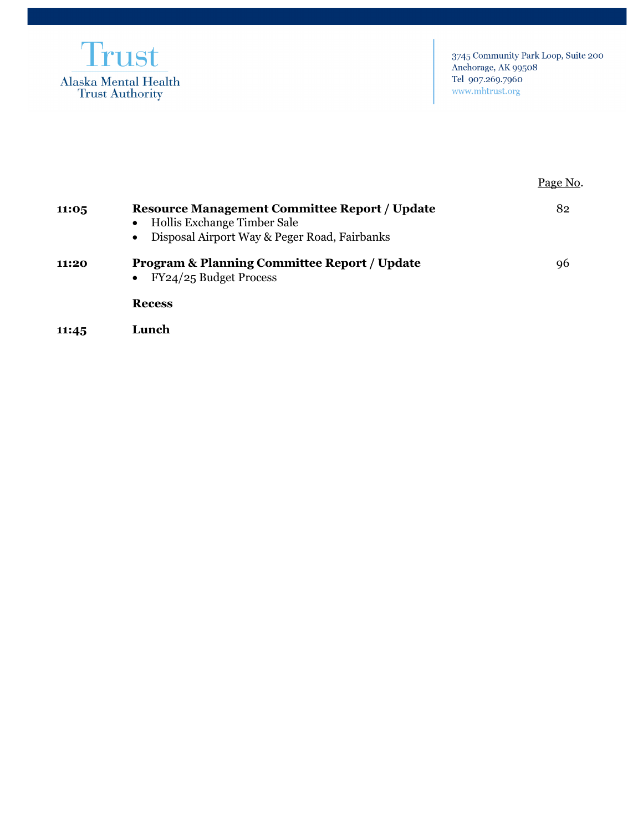

|       |                                                                                                                                     | Page No. |
|-------|-------------------------------------------------------------------------------------------------------------------------------------|----------|
| 11:05 | <b>Resource Management Committee Report / Update</b><br>Hollis Exchange Timber Sale<br>Disposal Airport Way & Peger Road, Fairbanks | 82       |
| 11:20 | <b>Program &amp; Planning Committee Report / Update</b><br>FY24/25 Budget Process                                                   | 96       |
|       | <b>Recess</b>                                                                                                                       |          |
|       |                                                                                                                                     |          |

**11:45 Lunch**